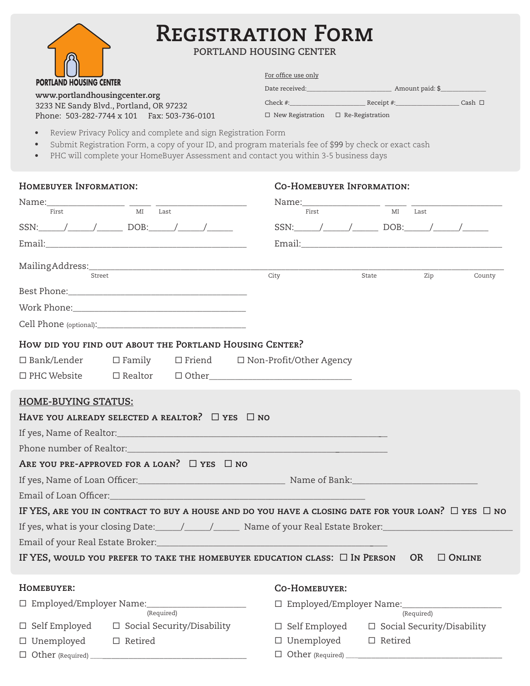| <b>PORTLAND HOUSING CENTER</b> |  |
|--------------------------------|--|

# **Registration Form**

**Portland Housing Center**

| - 11 - 11                                                                | For office use only     |                        |             |  |
|--------------------------------------------------------------------------|-------------------------|------------------------|-------------|--|
| <b>PORTLAND HOUSING CENTER</b>                                           | Date received:          | Amount paid: \$        |             |  |
| www.portlandhousingcenter.org<br>3233 NE Sandy Blvd., Portland, OR 97232 | Check #:                | Receipt #:             | Cash $\Box$ |  |
| Phone: 503-282-7744 x 101   Fax: 503-736-0101                            | $\Box$ New Registration | $\Box$ Re-Registration |             |  |

- Review Privacy Policy and complete and sign Registration Form
- Submit Registration Form, a copy of your ID, and program materials fee of \$99 by check or exact cash
- PHC will complete your HomeBuyer Assessment and contact you within 3-5 business days

| HOMEBUYER INFORMATION:                                                                                        |                     |                                   |                         |       | <b>CO-HOMEBUYER INFORMATION:</b>        |                |            |                                                     |
|---------------------------------------------------------------------------------------------------------------|---------------------|-----------------------------------|-------------------------|-------|-----------------------------------------|----------------|------------|-----------------------------------------------------|
|                                                                                                               |                     |                                   |                         |       | Name: _____________________ ______ ____ |                |            |                                                     |
| First                                                                                                         | $\overline{M}$ Last |                                   |                         | First |                                         |                | MI Last    |                                                     |
| SSN: $/$ / DOB: / /                                                                                           |                     |                                   |                         |       |                                         |                |            | $SSN:$ $\qquad$ / $\qquad$ DOB: $\qquad$ / $\qquad$ |
|                                                                                                               |                     |                                   |                         |       |                                         |                |            |                                                     |
| Street                                                                                                        |                     |                                   | City                    |       | State                                   |                | Zip        | County                                              |
|                                                                                                               |                     |                                   |                         |       |                                         |                |            |                                                     |
|                                                                                                               |                     |                                   |                         |       |                                         |                |            |                                                     |
|                                                                                                               |                     |                                   |                         |       |                                         |                |            |                                                     |
| How did you find out about the Portland Housing Center?                                                       |                     |                                   |                         |       |                                         |                |            |                                                     |
| $\Box$ Bank/Lender $\Box$ Family $\Box$ Friend $\Box$ Non-Profit/Other Agency                                 |                     |                                   |                         |       |                                         |                |            |                                                     |
| $\Box$ PHC Website $\Box$ Realtor $\Box$ Other $\Box$                                                         |                     |                                   |                         |       |                                         |                |            |                                                     |
| <b>HOME-BUYING STATUS:</b>                                                                                    |                     |                                   |                         |       |                                         |                |            |                                                     |
| HAVE YOU ALREADY SELECTED A REALTOR? $\Box$ YES $\Box$ NO                                                     |                     |                                   |                         |       |                                         |                |            |                                                     |
|                                                                                                               |                     |                                   |                         |       |                                         |                |            |                                                     |
| Phone number of Realtor: Network and Section Assembly the Books of Realton:                                   |                     |                                   |                         |       |                                         |                |            |                                                     |
| ARE YOU PRE-APPROVED FOR A LOAN? $\Box$ YES $\Box$ NO                                                         |                     |                                   |                         |       |                                         |                |            |                                                     |
|                                                                                                               |                     |                                   |                         |       |                                         |                |            |                                                     |
| Email of Loan Officer: Note that the set of the set of the set of the set of the set of the set of the set of |                     |                                   |                         |       |                                         |                |            |                                                     |
| IF YES, ARE YOU IN CONTRACT TO BUY A HOUSE AND DO YOU HAVE A CLOSING DATE FOR YOUR LOAN? $\Box$ YES $\Box$ NO |                     |                                   |                         |       |                                         |                |            |                                                     |
|                                                                                                               |                     |                                   |                         |       |                                         |                |            |                                                     |
|                                                                                                               |                     |                                   |                         |       |                                         |                |            |                                                     |
| IF YES, WOULD YOU PREFER TO TAKE THE HOMEBUYER EDUCATION CLASS: $\Box$ In Person                              |                     |                                   |                         |       |                                         |                | OR         | $\Box$ Online                                       |
| HOMEBUYER:                                                                                                    |                     |                                   | <b>CO-HOMEBUYER:</b>    |       |                                         |                |            |                                                     |
|                                                                                                               |                     |                                   |                         |       |                                         |                |            |                                                     |
|                                                                                                               |                     | (Required)                        |                         |       |                                         |                | (Required) |                                                     |
| $\square$ Self Employed                                                                                       |                     | $\Box$ Social Security/Disability | $\square$ Self Employed |       |                                         |                |            | $\Box$ Social Security/Disability                   |
| □ Unemployed                                                                                                  | $\Box$ Retired      |                                   | $\square$ Unemployed    |       |                                         | $\Box$ Retired |            |                                                     |
|                                                                                                               |                     |                                   |                         |       |                                         |                |            |                                                     |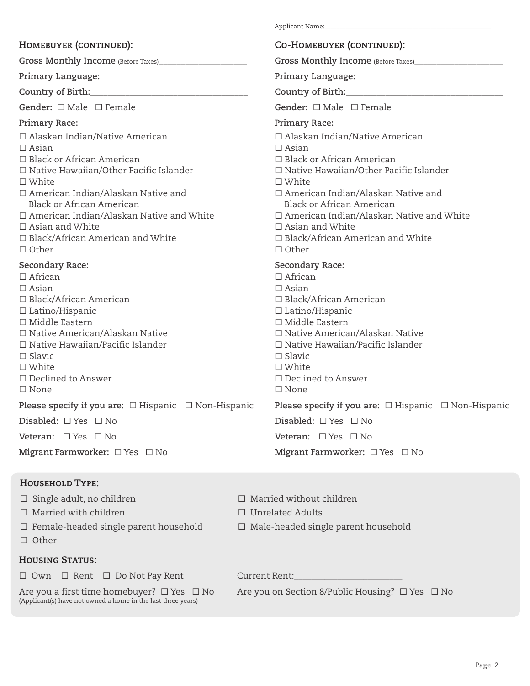#### **Homebuyer (continued):**

**Co-Homebuyer (continued): Gross Monthly Income** (Before Taxes)\_\_\_\_\_\_\_\_\_\_\_\_\_\_\_\_\_\_\_\_ **Primary Language:\_\_\_\_\_\_\_\_\_\_\_\_\_\_\_\_\_\_\_\_\_\_\_\_\_\_\_\_\_\_\_\_\_\_ Country of Birth:**\_\_\_\_\_\_\_\_\_\_\_\_\_\_\_\_\_\_\_\_\_\_\_\_\_\_\_\_\_\_\_\_\_\_\_\_ Gender: □ Male □ Female **Primary Race:**  Alaskan Indian/Native American  $\Box$  Asian □ Black or African American □ Native Hawaiian/Other Pacific Islander □ White American Indian/Alaskan Native and Black or African American □ American Indian/Alaskan Native and White  $\Box$  Asian and White □ Black/African American and White  $\Box$  Other **Secondary Race:**  □ African  $\Box$  Asian Black/African American  $\square$  Latino/Hispanic  $\Box$  Middle Eastern □ Native American/Alaskan Native  $\square$  Native Hawaiian/Pacific Islander □ Slavic □ White Declined to Answer  $\square$  None **Please specify if you are:** □ Hispanic □ Non-Hispanic **Disabled:** □ Yes □ No **Veteran:** □ Yes □ No **Migrant Farmworker:** □ Yes □ No **Gross Monthly Income** (Before Taxes)\_\_\_\_\_\_\_\_\_\_\_\_\_\_\_\_\_\_\_\_ **Primary Language:\_\_\_\_\_\_\_\_\_\_\_\_\_\_\_\_\_\_\_\_\_\_\_\_\_\_\_\_\_\_\_\_\_\_ Country of Birth:**\_\_\_\_\_\_\_\_\_\_\_\_\_\_\_\_\_\_\_\_\_\_\_\_\_\_\_\_\_\_\_\_\_\_\_\_ Gender: □ Male □ Female **Primary Race:**  Alaskan Indian/Native American  $\Box$  Asian □ Black or African American Native Hawaiian/Other Pacific Islander White American Indian/Alaskan Native and Black or African American American Indian/Alaskan Native and White  $\Box$  Asian and White □ Black/African American and White  $\Box$  Other **Secondary Race:**  □ African  $\Box$  Asian □ Black/African American  $\square$  Latino/Hispanic  $\Box$  Middle Eastern □ Native American/Alaskan Native □ Native Hawaiian/Pacific Islander □ Slavic □ White Declined to Answer □ None **Please specify if you are:** □ Hispanic □ Non-Hispanic **Disabled:** □ Yes □ No **Veteran:** □ Yes □ No **Migrant Farmworker:** □ Yes □ No

Applicant Name:

#### **Household Type:**

Married with children Unrelated Adults

 $\Box$  Other

#### **Housing Status:**

□ Own □ Rent □ Do Not Pay Rent (Current Rent:

(Applicant(s) have not owned a home in the last three years)

 $\square$  Single adult, no children  $\square$  Married without children

- 
- $\Box$  Female-headed single parent household  $\Box$  Male-headed single parent household

Are you a first time homebuyer?  $\Box$  Yes  $\Box$  No Are you on Section 8/Public Housing?  $\Box$  Yes  $\Box$  No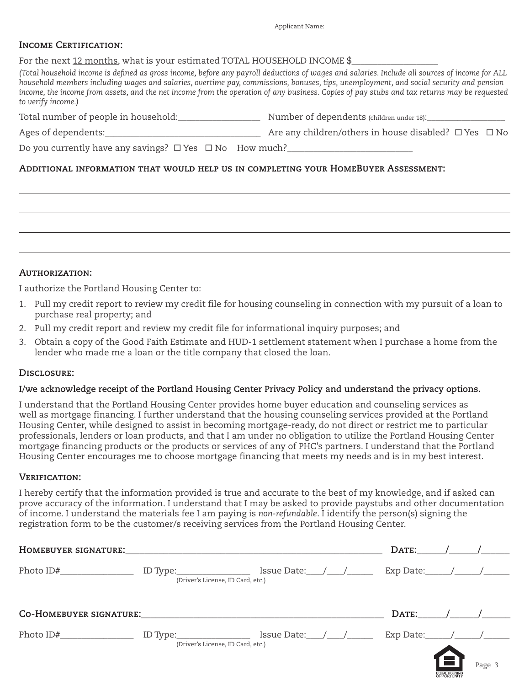Applicant Name:

#### **Income Certification:**

For the next 12 months, what is your estimated TOTAL HOUSEHOLD INCOME \$

*(Total household income is defined as gross income, before any payroll deductions of wages and salaries. Include all sources of income for ALL household members including wages and salaries, overtime pay, commissions, bonuses, tips, unemployment, and social security and pension income, the income from assets, and the net income from the operation of any business. Copies of pay stubs and tax returns may be requested to verify income.)*

| Total number of people in household: | Number of dependents (children under 18): |
|--------------------------------------|-------------------------------------------|
|--------------------------------------|-------------------------------------------|

Ages of dependents:\_\_\_\_\_\_\_\_\_\_\_\_\_\_\_\_\_\_\_\_\_\_\_\_\_\_\_\_\_\_\_\_\_\_\_\_ Are any children/others in house disabled? Yes No

Do you currently have any savings?  $\Box$  Yes  $\Box$  No How much?

#### **Additional information that would help us in completing your HomeBuyer Assessment:**



#### **Authorization:**

I authorize the Portland Housing Center to:

- 1. Pull my credit report to review my credit file for housing counseling in connection with my pursuit of a loan to purchase real property; and
- 2. Pull my credit report and review my credit file for informational inquiry purposes; and
- 3. Obtain a copy of the Good Faith Estimate and HUD-1 settlement statement when I purchase a home from the lender who made me a loan or the title company that closed the loan.

#### **Disclosure:**

#### **I/we acknowledge receipt of the Portland Housing Center Privacy Policy and understand the privacy options.**

I understand that the Portland Housing Center provides home buyer education and counseling services as well as mortgage financing. I further understand that the housing counseling services provided at the Portland Housing Center, while designed to assist in becoming mortgage-ready, do not direct or restrict me to particular professionals, lenders or loan products, and that I am under no obligation to utilize the Portland Housing Center mortgage financing products or the products or services of any of PHC's partners. I understand that the Portland Housing Center encourages me to choose mortgage financing that meets my needs and is in my best interest.

#### **Verification:**

I hereby certify that the information provided is true and accurate to the best of my knowledge, and if asked can prove accuracy of the information. I understand that I may be asked to provide paystubs and other documentation of income. I understand the materials fee I am paying is *non-refundable*. I identify the person(s) signing the registration form to be the customer/s receiving services from the Portland Housing Center.

| HOMEBUYER SIGNATURE:           |                                                                   |                 |                                                        | DATE:                                                                                  |               |        |
|--------------------------------|-------------------------------------------------------------------|-----------------|--------------------------------------------------------|----------------------------------------------------------------------------------------|---------------|--------|
|                                | ID Type:___________________<br>(Driver's License, ID Card, etc.)  |                 | Issue Date: $\_\_\_\_\_\_\_\_\_\_\_\_\_\_\_\_\_\_\_\_$ | Exp Date: $\frac{1}{\sqrt{1-\frac{1}{2}}}\left  \frac{1}{\sqrt{1-\frac{1}{2}}}\right $ |               |        |
| <b>CO-HOMEBUYER SIGNATURE:</b> |                                                                   |                 |                                                        | DATE:                                                                                  |               |        |
|                                | ID Type:____________________<br>(Driver's License, ID Card, etc.) | Issue Date: / / |                                                        | Exp Date: $/$ /                                                                        |               |        |
|                                |                                                                   |                 |                                                        |                                                                                        | EQUAL HOUSING | Page 3 |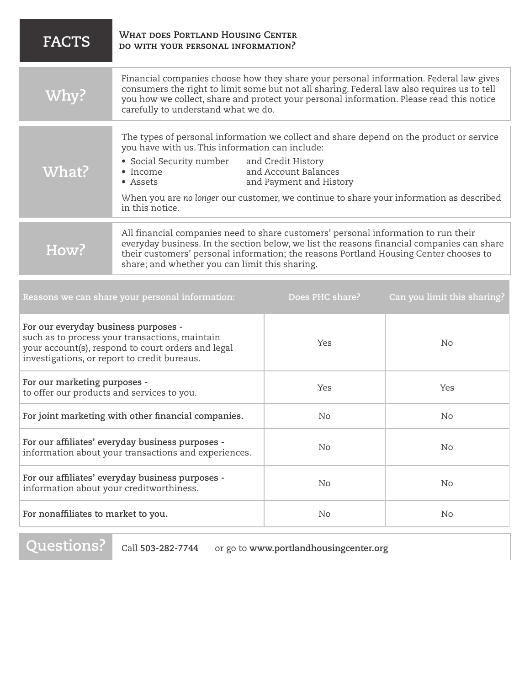| <b>FACTS</b>                                                                                                                                                                                                                                                                                                                                                                                | <b>WHAT DOES PORTLAND HOUSING CENTER</b><br>DO WITH YOUR PERSONAL INFORMATION? |  |  |  |
|---------------------------------------------------------------------------------------------------------------------------------------------------------------------------------------------------------------------------------------------------------------------------------------------------------------------------------------------------------------------------------------------|--------------------------------------------------------------------------------|--|--|--|
| Financial companies choose how they share your personal information. Federal law gives<br>consumers the right to limit some but not all sharing. Federal law also requires us to tell<br>Why?<br>you how we collect, share and protect your personal information. Please read this notice<br>carefully to understand what we do.                                                            |                                                                                |  |  |  |
| The types of personal information we collect and share depend on the product or service<br>you have with us. This information can include:<br>• Social Security number and Credit History<br>What?<br>and Account Balances<br>• Income<br>and Payment and History<br>• Assets<br>When you are no longer our customer, we continue to share your information as described<br>in this notice. |                                                                                |  |  |  |
| All financial companies need to share customers' personal information to run their<br>everyday business. In the section below, we list the reasons financial companies can share<br>How?<br>their customers' personal information; the reasons Portland Housing Center chooses to<br>share; and whether you can limit this sharing.                                                         |                                                                                |  |  |  |
| Reasons we can share your personal information:<br>Does PHC share?<br>Can you limit this sharing?                                                                                                                                                                                                                                                                                           |                                                                                |  |  |  |
| For our everyday business purposes -<br>such as to process your transactions, maintain<br>Yes<br><b>No</b><br>your account(s), respond to court orders and legal<br>investigations, or report to credit bureaus.                                                                                                                                                                            |                                                                                |  |  |  |
| For our marketing purposes -<br>Yes<br>Yes<br>to offer our products and services to you.                                                                                                                                                                                                                                                                                                    |                                                                                |  |  |  |
| For joint marketing with other financial companies.<br>No<br>No                                                                                                                                                                                                                                                                                                                             |                                                                                |  |  |  |
| For our affiliates' everyday business purposes -<br>No<br>No<br>information about your transactions and experiences.                                                                                                                                                                                                                                                                        |                                                                                |  |  |  |
| For our affiliates' everyday business purposes -<br>No<br>No<br>information about your creditworthiness.                                                                                                                                                                                                                                                                                    |                                                                                |  |  |  |
| For nonaffiliates to market to you.<br>No<br>No                                                                                                                                                                                                                                                                                                                                             |                                                                                |  |  |  |

**Questions?**

Call **503-282-7744** or go to **www.portlandhousingcenter.org**